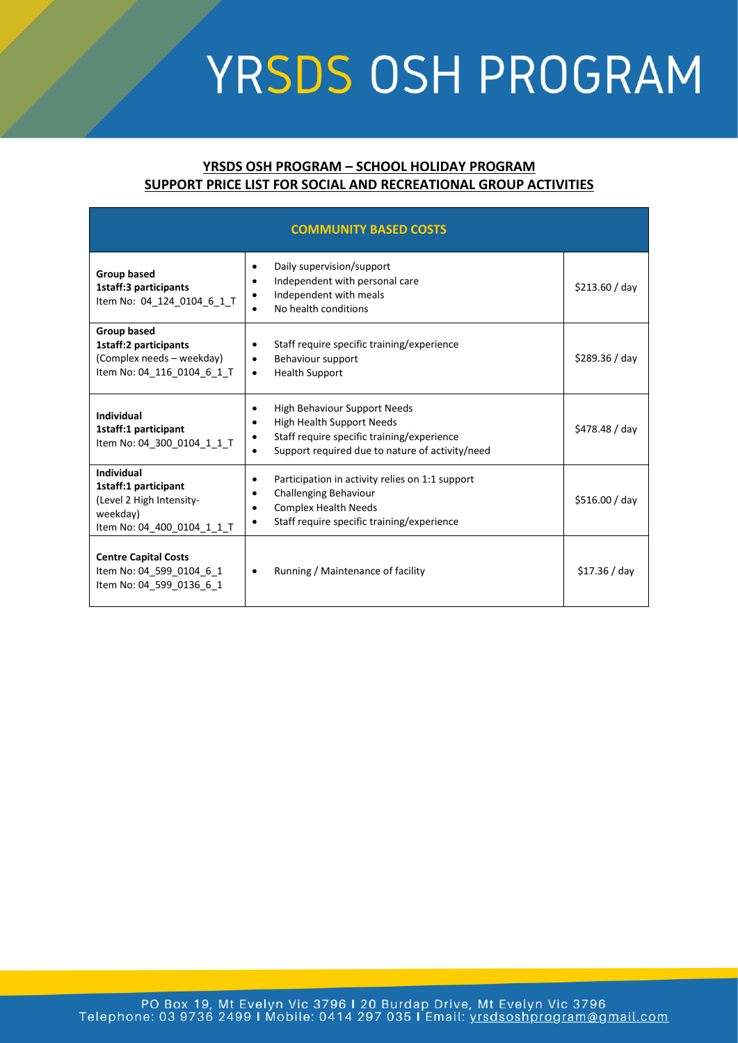## YRSDS OSH PROGRAM

## **YRSDS OSH PROGRAM – SCHOOL HOLIDAY PROGRAM SUPPORT PRICE LIST FOR SOCIAL AND RECREATIONAL GROUP ACTIVITIES**

| <b>COMMUNITY BASED COSTS</b>                                                                                    |                                                                                                                                                                                             |                |  |  |
|-----------------------------------------------------------------------------------------------------------------|---------------------------------------------------------------------------------------------------------------------------------------------------------------------------------------------|----------------|--|--|
| <b>Group based</b><br>1staff:3 participants<br>Item No: 04 124 0104 6 1 T                                       | Daily supervision/support<br>Independent with personal care<br>$\bullet$<br>Independent with meals<br>٠<br>No health conditions                                                             | \$213.60 / day |  |  |
| <b>Group based</b><br>1staff:2 participants<br>(Complex needs - weekday)<br>Item No: 04 116 0104 6 1 T          | Staff require specific training/experience<br>$\bullet$<br>Behaviour support<br>$\bullet$<br><b>Health Support</b><br>$\bullet$                                                             | \$289.36 / day |  |  |
| <b>Individual</b><br>1staff:1 participant<br>Item No: 04 300 0104 1 1 T                                         | <b>High Behaviour Support Needs</b><br>٠<br><b>High Health Support Needs</b><br>٠<br>Staff require specific training/experience<br>٠<br>Support required due to nature of activity/need     | \$478.48 / day |  |  |
| <b>Individual</b><br>1staff:1 participant<br>(Level 2 High Intensity-<br>weekday)<br>Item No: 04_400_0104_1_1_T | Participation in activity relies on 1:1 support<br>$\bullet$<br><b>Challenging Behaviour</b><br>$\bullet$<br><b>Complex Health Needs</b><br>٠<br>Staff require specific training/experience | \$516.00 / day |  |  |
| <b>Centre Capital Costs</b><br>Item No: 04 599 0104 6 1<br>Item No: 04 599 0136 6 1                             | Running / Maintenance of facility<br>$\bullet$                                                                                                                                              | \$17.36 / day  |  |  |